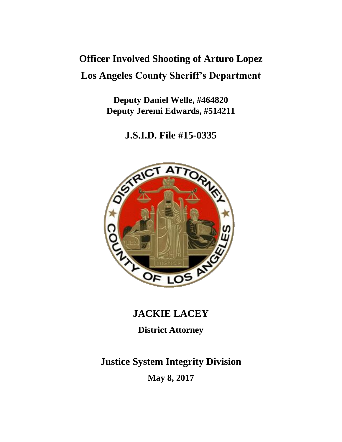## **Officer Involved Shooting of Arturo Lopez Los Angeles County Sheriff's Department**

**Deputy Daniel Welle, #464820 Deputy Jeremi Edwards, #514211**

**J.S.I.D. File #15-0335**



### **JACKIE LACEY**

**District Attorney**

# **Justice System Integrity Division**

**May 8, 2017**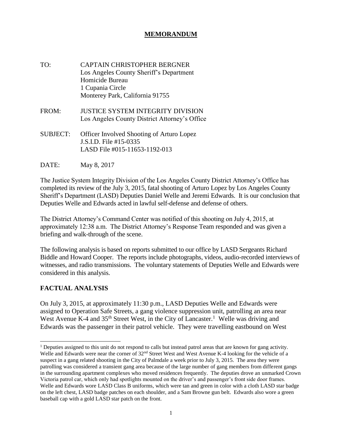#### **MEMORANDUM**

- TO: CAPTAIN CHRISTOPHER BERGNER Los Angeles County Sheriff's Department Homicide Bureau 1 Cupania Circle Monterey Park, California 91755
- FROM: JUSTICE SYSTEM INTEGRITY DIVISION Los Angeles County District Attorney's Office
- SUBJECT: Officer Involved Shooting of Arturo Lopez J.S.I.D. File #15-0335 LASD File #015-11653-1192-013

DATE: May 8, 2017

The Justice System Integrity Division of the Los Angeles County District Attorney's Office has completed its review of the July 3, 2015, fatal shooting of Arturo Lopez by Los Angeles County Sheriff's Department (LASD) Deputies Daniel Welle and Jeremi Edwards. It is our conclusion that Deputies Welle and Edwards acted in lawful self-defense and defense of others.

The District Attorney's Command Center was notified of this shooting on July 4, 2015, at approximately 12:38 a.m. The District Attorney's Response Team responded and was given a briefing and walk-through of the scene.

The following analysis is based on reports submitted to our office by LASD Sergeants Richard Biddle and Howard Cooper. The reports include photographs, videos, audio-recorded interviews of witnesses, and radio transmissions. The voluntary statements of Deputies Welle and Edwards were considered in this analysis.

#### **FACTUAL ANALYSIS**

l

On July 3, 2015, at approximately 11:30 p.m., LASD Deputies Welle and Edwards were assigned to Operation Safe Streets, a gang violence suppression unit, patrolling an area near West Avenue K-4 and  $35<sup>th</sup>$  Street West, in the City of Lancaster.<sup>1</sup> Welle was driving and Edwards was the passenger in their patrol vehicle. They were travelling eastbound on West

<sup>&</sup>lt;sup>1</sup> Deputies assigned to this unit do not respond to calls but instead patrol areas that are known for gang activity. Welle and Edwards were near the corner of 32<sup>nd</sup> Street West and West Avenue K-4 looking for the vehicle of a suspect in a gang related shooting in the City of Palmdale a week prior to July 3, 2015. The area they were patrolling was considered a transient gang area because of the large number of gang members from different gangs in the surrounding apartment complexes who moved residences frequently. The deputies drove an unmarked Crown Victoria patrol car, which only had spotlights mounted on the driver's and passenger's front side door frames. Welle and Edwards wore LASD Class B uniforms, which were tan and green in color with a cloth LASD star badge on the left chest, LASD badge patches on each shoulder, and a Sam Browne gun belt. Edwards also wore a green baseball cap with a gold LASD star patch on the front.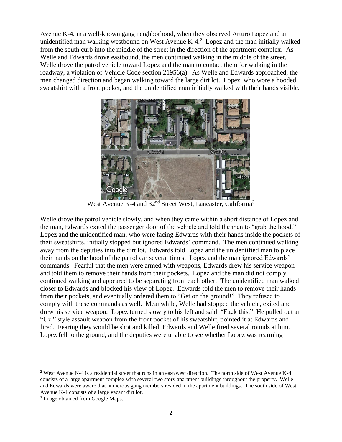Avenue K-4, in a well-known gang neighborhood, when they observed Arturo Lopez and an unidentified man walking westbound on West Avenue K-4. $2$  Lopez and the man initially walked from the south curb into the middle of the street in the direction of the apartment complex. As Welle and Edwards drove eastbound, the men continued walking in the middle of the street. Welle drove the patrol vehicle toward Lopez and the man to contact them for walking in the roadway, a violation of Vehicle Code section 21956(a). As Welle and Edwards approached, the men changed direction and began walking toward the large dirt lot. Lopez, who wore a hooded sweatshirt with a front pocket, and the unidentified man initially walked with their hands visible.



West Avenue K-4 and 32<sup>nd</sup> Street West, Lancaster, California<sup>3</sup>

Welle drove the patrol vehicle slowly, and when they came within a short distance of Lopez and the man, Edwards exited the passenger door of the vehicle and told the men to "grab the hood." Lopez and the unidentified man, who were facing Edwards with their hands inside the pockets of their sweatshirts, initially stopped but ignored Edwards' command. The men continued walking away from the deputies into the dirt lot. Edwards told Lopez and the unidentified man to place their hands on the hood of the patrol car several times. Lopez and the man ignored Edwards' commands. Fearful that the men were armed with weapons, Edwards drew his service weapon and told them to remove their hands from their pockets. Lopez and the man did not comply, continued walking and appeared to be separating from each other. The unidentified man walked closer to Edwards and blocked his view of Lopez. Edwards told the men to remove their hands from their pockets, and eventually ordered them to "Get on the ground!" They refused to comply with these commands as well. Meanwhile, Welle had stopped the vehicle, exited and drew his service weapon. Lopez turned slowly to his left and said, "Fuck this." He pulled out an "Uzi" style assault weapon from the front pocket of his sweatshirt, pointed it at Edwards and fired. Fearing they would be shot and killed, Edwards and Welle fired several rounds at him. Lopez fell to the ground, and the deputies were unable to see whether Lopez was rearming

 $\overline{a}$ <sup>2</sup> West Avenue K-4 is a residential street that runs in an east/west direction. The north side of West Avenue K-4 consists of a large apartment complex with several two story apartment buildings throughout the property. Welle and Edwards were aware that numerous gang members resided in the apartment buildings. The south side of West Avenue K-4 consists of a large vacant dirt lot.

<sup>&</sup>lt;sup>3</sup> Image obtained from Google Maps.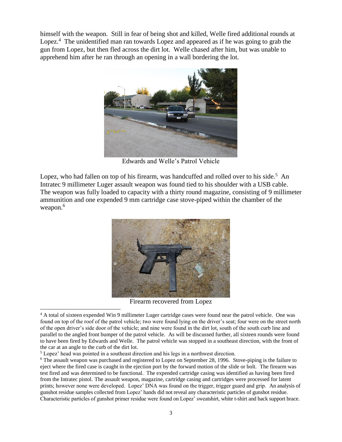himself with the weapon. Still in fear of being shot and killed, Welle fired additional rounds at Lopez.<sup>4</sup> The unidentified man ran towards Lopez and appeared as if he was going to grab the gun from Lopez, but then fled across the dirt lot. Welle chased after him, but was unable to apprehend him after he ran through an opening in a wall bordering the lot.



Edwards and Welle's Patrol Vehicle

Lopez, who had fallen on top of his firearm, was handcuffed and rolled over to his side.<sup>5</sup> An Intratec 9 millimeter Luger assault weapon was found tied to his shoulder with a USB cable. The weapon was fully loaded to capacity with a thirty round magazine, consisting of 9 millimeter ammunition and one expended 9 mm cartridge case stove-piped within the chamber of the weapon.<sup>6</sup>



Firearm recovered from Lopez

 $\overline{a}$ <sup>4</sup> A total of sixteen expended Win 9 millimeter Luger cartridge cases were found near the patrol vehicle. One was found on top of the roof of the patrol vehicle; two were found lying on the driver's seat; four were on the street north of the open driver's side door of the vehicle; and nine were found in the dirt lot, south of the south curb line and parallel to the angled front bumper of the patrol vehicle. As will be discussed further, all sixteen rounds were found to have been fired by Edwards and Welle. The patrol vehicle was stopped in a southeast direction, with the front of the car at an angle to the curb of the dirt lot.

<sup>&</sup>lt;sup>5</sup> Lopez' head was pointed in a southeast direction and his legs in a northwest direction.

<sup>&</sup>lt;sup>6</sup> The assault weapon was purchased and registered to Lopez on September 28, 1996. Stove-piping is the failure to eject where the fired case is caught in the ejection port by the forward motion of the slide or bolt. The firearm was test fired and was determined to be functional. The expended cartridge casing was identified as having been fired from the Intratec pistol. The assault weapon, magazine, cartridge casing and cartridges were processed for latent prints; however none were developed. Lopez' DNA was found on the trigger, trigger guard and grip. An analysis of gunshot residue samples collected from Lopez' hands did not reveal any characteristic particles of gunshot residue. Characteristic particles of gunshot primer residue were found on Lopez' sweatshirt, white t-shirt and back support brace.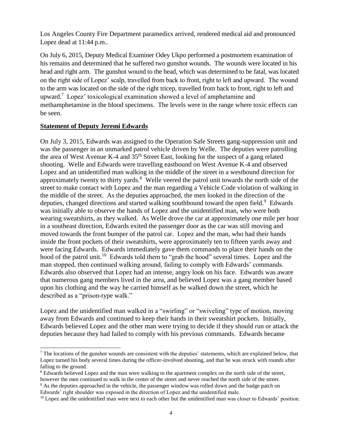Los Angeles County Fire Department paramedics arrived, rendered medical aid and pronounced Lopez dead at 11:44 p.m..

On July 6, 2015, Deputy Medical Examiner Odey Ukpo performed a postmortem examination of his remains and determined that he suffered two gunshot wounds. The wounds were located in his head and right arm. The gunshot wound to the head, which was determined to be fatal, was located on the right side of Lopez' scalp, travelled from back to front, right to left and upward. The wound to the arm was located on the side of the right tricep, travelled from back to front, right to left and upward.<sup>7</sup> Lopez' toxicological examination showed a level of amphetamine and methamphetamine in the blood specimens. The levels were in the range where toxic effects can be seen.

#### **Statement of Deputy Jeremi Edwards**

 $\overline{a}$ 

On July 3, 2015, Edwards was assigned to the Operation Safe Streets gang-suppression unit and was the passenger in an unmarked patrol vehicle driven by Welle. The deputies were patrolling the area of West Avenue K-4 and 35<sup>th</sup> Street East, looking for the suspect of a gang related shooting. Welle and Edwards were travelling eastbound on West Avenue K-4 and observed Lopez and an unidentified man walking in the middle of the street in a westbound direction for approximately twenty to thirty yards. $8$  Welle veered the patrol unit towards the north side of the street to make contact with Lopez and the man regarding a Vehicle Code violation of walking in the middle of the street. As the deputies approached, the men looked in the direction of the deputies, changed directions and started walking southbound toward the open field.<sup>9</sup> Edwards was initially able to observe the hands of Lopez and the unidentified man, who were both wearing sweatshirts, as they walked. As Welle drove the car at approximately one mile per hour in a southeast direction, Edwards exited the passenger door as the car was still moving and moved towards the front bumper of the patrol car. Lopez and the man, who had their hands inside the front pockets of their sweatshirts, were approximately ten to fifteen yards away and were facing Edwards. Edwards immediately gave them commands to place their hands on the hood of the patrol unit.<sup>10</sup> Edwards told them to "grab the hood" several times. Lopez and the man stopped, then continued walking around, failing to comply with Edwards' commands. Edwards also observed that Lopez had an intense, angry look on his face. Edwards was aware that numerous gang members lived in the area, and believed Lopez was a gang member based upon his clothing and the way he carried himself as he walked down the street, which he described as a "prison-type walk."

Lopez and the unidentified man walked in a "swirling" or "swiveling" type of motion, moving away from Edwards and continued to keep their hands in their sweatshirt pockets. Initially, Edwards believed Lopez and the other man were trying to decide if they should run or attack the deputies because they had failed to comply with his previous commands. Edwards became

 $<sup>7</sup>$  The locations of the gunshot wounds are consistent with the deputies' statements, which are explained below, that</sup> Lopez turned his body several times during the officer-involved shooting, and that he was struck with rounds after falling to the ground.

<sup>&</sup>lt;sup>8</sup> Edwards believed Lopez and the man were walking to the apartment complex on the north side of the street, however the men continued to walk in the center of the street and never reached the north side of the street.

<sup>&</sup>lt;sup>9</sup> As the deputies approached in the vehicle, the passenger window was rolled down and the badge patch on Edwards' right shoulder was exposed in the direction of Lopez and the unidentified male.

 $10$  Lopez and the unidentified man were next to each other but the unidentified man was closer to Edwards' position.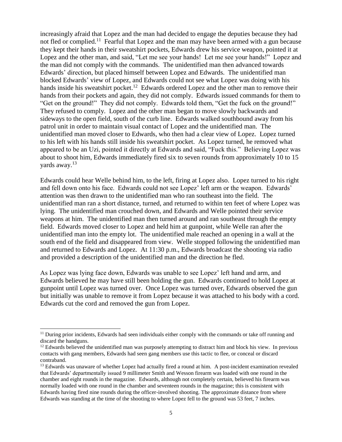increasingly afraid that Lopez and the man had decided to engage the deputies because they had not fled or complied.<sup>11</sup> Fearful that Lopez and the man may have been armed with a gun because they kept their hands in their sweatshirt pockets, Edwards drew his service weapon, pointed it at Lopez and the other man, and said, "Let me see your hands! Let me see your hands!" Lopez and the man did not comply with the commands. The unidentified man then advanced towards Edwards' direction, but placed himself between Lopez and Edwards. The unidentified man blocked Edwards' view of Lopez, and Edwards could not see what Lopez was doing with his hands inside his sweatshirt pocket.<sup>12</sup> Edwards ordered Lopez and the other man to remove their hands from their pockets and again, they did not comply. Edwards issued commands for them to "Get on the ground!" They did not comply. Edwards told them, "Get the fuck on the ground!" They refused to comply. Lopez and the other man began to move slowly backwards and sideways to the open field, south of the curb line. Edwards walked southbound away from his patrol unit in order to maintain visual contact of Lopez and the unidentified man. The unidentified man moved closer to Edwards, who then had a clear view of Lopez. Lopez turned to his left with his hands still inside his sweatshirt pocket. As Lopez turned, he removed what appeared to be an Uzi, pointed it directly at Edwards and said, "Fuck this." Believing Lopez was about to shoot him, Edwards immediately fired six to seven rounds from approximately 10 to 15 yards away.<sup>13</sup>

Edwards could hear Welle behind him, to the left, firing at Lopez also. Lopez turned to his right and fell down onto his face. Edwards could not see Lopez' left arm or the weapon. Edwards' attention was then drawn to the unidentified man who ran southeast into the field. The unidentified man ran a short distance, turned, and returned to within ten feet of where Lopez was lying. The unidentified man crouched down, and Edwards and Welle pointed their service weapons at him. The unidentified man then turned around and ran southeast through the empty field. Edwards moved closer to Lopez and held him at gunpoint, while Welle ran after the unidentified man into the empty lot. The unidentified male reached an opening in a wall at the south end of the field and disappeared from view. Welle stopped following the unidentified man and returned to Edwards and Lopez. At 11:30 p.m., Edwards broadcast the shooting via radio and provided a description of the unidentified man and the direction he fled.

As Lopez was lying face down, Edwards was unable to see Lopez' left hand and arm, and Edwards believed he may have still been holding the gun. Edwards continued to hold Lopez at gunpoint until Lopez was turned over. Once Lopez was turned over, Edwards observed the gun but initially was unable to remove it from Lopez because it was attached to his body with a cord. Edwards cut the cord and removed the gun from Lopez.

 $\overline{a}$ 

 $<sup>11</sup>$  During prior incidents, Edwards had seen individuals either comply with the commands or take off running and</sup> discard the handguns.

<sup>&</sup>lt;sup>12</sup> Edwards believed the unidentified man was purposely attempting to distract him and block his view. In previous contacts with gang members, Edwards had seen gang members use this tactic to flee, or conceal or discard contraband.

<sup>&</sup>lt;sup>13</sup> Edwards was unaware of whether Lopez had actually fired a round at him. A post-incident examination revealed that Edwards' departmentally issued 9 millimeter Smith and Wesson firearm was loaded with one round in the chamber and eight rounds in the magazine. Edwards, although not completely certain, believed his firearm was normally loaded with one round in the chamber and seventeen rounds in the magazine; this is consistent with Edwards having fired nine rounds during the officer-involved shooting. The approximate distance from where Edwards was standing at the time of the shooting to where Lopez fell to the ground was 53 feet, 7 inches.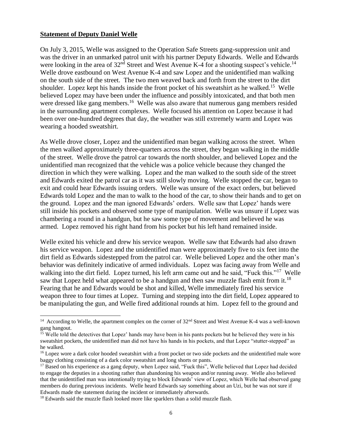#### **Statement of Deputy Daniel Welle**

l

On July 3, 2015, Welle was assigned to the Operation Safe Streets gang-suppression unit and was the driver in an unmarked patrol unit with his partner Deputy Edwards. Welle and Edwards were looking in the area of  $32<sup>nd</sup>$  Street and West Avenue K-4 for a shooting suspect's vehicle.<sup>14</sup> Welle drove eastbound on West Avenue K-4 and saw Lopez and the unidentified man walking on the south side of the street. The two men weaved back and forth from the street to the dirt shoulder. Lopez kept his hands inside the front pocket of his sweatshirt as he walked.<sup>15</sup> Welle believed Lopez may have been under the influence and possibly intoxicated, and that both men were dressed like gang members.<sup>16</sup> Welle was also aware that numerous gang members resided in the surrounding apartment complexes. Welle focused his attention on Lopez because it had been over one-hundred degrees that day, the weather was still extremely warm and Lopez was wearing a hooded sweatshirt.

As Welle drove closer, Lopez and the unidentified man began walking across the street. When the men walked approximately three-quarters across the street, they began walking in the middle of the street. Welle drove the patrol car towards the north shoulder, and believed Lopez and the unidentified man recognized that the vehicle was a police vehicle because they changed the direction in which they were walking. Lopez and the man walked to the south side of the street and Edwards exited the patrol car as it was still slowly moving. Welle stopped the car, began to exit and could hear Edwards issuing orders. Welle was unsure of the exact orders, but believed Edwards told Lopez and the man to walk to the hood of the car, to show their hands and to get on the ground. Lopez and the man ignored Edwards' orders. Welle saw that Lopez' hands were still inside his pockets and observed some type of manipulation. Welle was unsure if Lopez was chambering a round in a handgun, but he saw some type of movement and believed he was armed. Lopez removed his right hand from his pocket but his left hand remained inside.

Welle exited his vehicle and drew his service weapon. Welle saw that Edwards had also drawn his service weapon. Lopez and the unidentified man were approximately five to six feet into the dirt field as Edwards sidestepped from the patrol car. Welle believed Lopez and the other man's behavior was definitely indicative of armed individuals. Lopez was facing away from Welle and walking into the dirt field. Lopez turned, his left arm came out and he said, "Fuck this."<sup>17</sup> Welle saw that Lopez held what appeared to be a handgun and then saw muzzle flash emit from it.<sup>18</sup> Fearing that he and Edwards would be shot and killed, Welle immediately fired his service weapon three to four times at Lopez. Turning and stepping into the dirt field, Lopez appeared to be manipulating the gun, and Welle fired additional rounds at him. Lopez fell to the ground and

<sup>&</sup>lt;sup>14</sup> According to Welle, the apartment complex on the corner of  $32<sup>nd</sup>$  Street and West Avenue K-4 was a well-known gang hangout.

<sup>&</sup>lt;sup>15</sup> Welle told the detectives that Lopez' hands may have been in his pants pockets but he believed they were in his sweatshirt pockets, the unidentified man did not have his hands in his pockets, and that Lopez "stutter-stepped" as he walked.

<sup>&</sup>lt;sup>16</sup> Lopez wore a dark color hooded sweatshirt with a front pocket or two side pockets and the unidentified male wore baggy clothing consisting of a dark color sweatshirt and long shorts or pants.

<sup>&</sup>lt;sup>17</sup> Based on his experience as a gang deputy, when Lopez said, "Fuck this", Welle believed that Lopez had decided to engage the deputies in a shooting rather than abandoning his weapon and/or running away. Welle also believed that the unidentified man was intentionally trying to block Edwards' view of Lopez, which Welle had observed gang members do during previous incidents. Welle heard Edwards say something about an Uzi, but he was not sure if Edwards made the statement during the incident or immediately afterwards.

<sup>&</sup>lt;sup>18</sup> Edwards said the muzzle flash looked more like sparklers than a solid muzzle flash.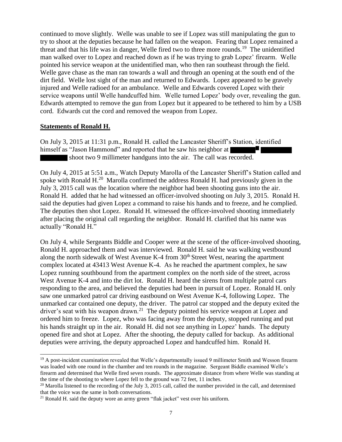continued to move slightly. Welle was unable to see if Lopez was still manipulating the gun to try to shoot at the deputies because he had fallen on the weapon. Fearing that Lopez remained a threat and that his life was in danger, Welle fired two to three more rounds.<sup>19</sup> The unidentified man walked over to Lopez and reached down as if he was trying to grab Lopez' firearm. Welle pointed his service weapon at the unidentified man, who then ran southeast through the field. Welle gave chase as the man ran towards a wall and through an opening at the south end of the dirt field. Welle lost sight of the man and returned to Edwards. Lopez appeared to be gravely injured and Welle radioed for an ambulance. Welle and Edwards covered Lopez with their service weapons until Welle handcuffed him. Welle turned Lopez' body over, revealing the gun. Edwards attempted to remove the gun from Lopez but it appeared to be tethered to him by a USB cord. Edwards cut the cord and removed the weapon from Lopez.

#### **Statements of Ronald H.**

On July 3, 2015 at 11:31 p.m., Ronald H. called the Lancaster Sheriff's Station, identified himself as "Jason Hammond" and reported that he saw his neighbor at shoot two 9 millimeter handguns into the air. The call was recorded.

On July 4, 2015 at 5:51 a.m., Watch Deputy Marolla of the Lancaster Sheriff's Station called and spoke with Ronald H. $^{20}$  Marolla confirmed the address Ronald H. had previously given in the July 3, 2015 call was the location where the neighbor had been shooting guns into the air. Ronald H. added that he had witnessed an officer-involved shooting on July 3, 2015. Ronald H. said the deputies had given Lopez a command to raise his hands and to freeze, and he complied. The deputies then shot Lopez. Ronald H. witnessed the officer-involved shooting immediately after placing the original call regarding the neighbor. Ronald H. clarified that his name was actually "Ronald H."

On July 4, while Sergeants Biddle and Cooper were at the scene of the officer-involved shooting, Ronald H. approached them and was interviewed. Ronald H. said he was walking westbound along the north sidewalk of West Avenue K-4 from  $30<sup>th</sup>$  Street West, nearing the apartment complex located at 43413 West Avenue K-4. As he reached the apartment complex, he saw Lopez running southbound from the apartment complex on the north side of the street, across West Avenue K-4 and into the dirt lot. Ronald H. heard the sirens from multiple patrol cars responding to the area, and believed the deputies had been in pursuit of Lopez. Ronald H. only saw one unmarked patrol car driving eastbound on West Avenue K-4, following Lopez. The unmarked car contained one deputy, the driver. The patrol car stopped and the deputy exited the driver's seat with his weapon drawn.<sup>21</sup> The deputy pointed his service weapon at Lopez and ordered him to freeze. Lopez, who was facing away from the deputy, stopped running and put his hands straight up in the air. Ronald H. did not see anything in Lopez' hands. The deputy opened fire and shot at Lopez. After the shooting, the deputy called for backup. As additional deputies were arriving, the deputy approached Lopez and handcuffed him. Ronald H.

<sup>&</sup>lt;sup>19</sup> A post-incident examination revealed that Welle's departmentally issued 9 millimeter Smith and Wesson firearm was loaded with one round in the chamber and ten rounds in the magazine. Sergeant Biddle examined Welle's firearm and determined that Welle fired seven rounds. The approximate distance from where Welle was standing at the time of the shooting to where Lopez fell to the ground was 72 feet, 11 inches.

 $^{20}$  Marolla listened to the recording of the July 3, 2015 call, called the number provided in the call, and determined that the voice was the same in both conversations.

 $21$  Ronald H. said the deputy wore an army green "flak jacket" vest over his uniform.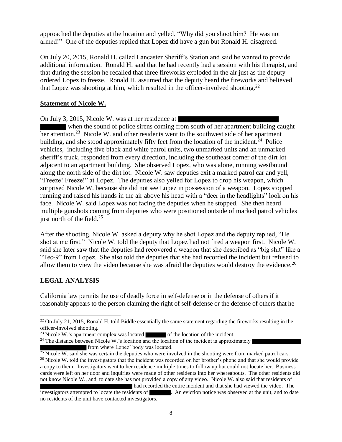approached the deputies at the location and yelled, "Why did you shoot him? He was not armed!" One of the deputies replied that Lopez did have a gun but Ronald H. disagreed.

On July 20, 2015, Ronald H. called Lancaster Sheriff's Station and said he wanted to provide additional information. Ronald H. said that he had recently had a session with his therapist, and that during the session he recalled that three fireworks exploded in the air just as the deputy ordered Lopez to freeze. Ronald H. assumed that the deputy heard the fireworks and believed that Lopez was shooting at him, which resulted in the officer-involved shooting.<sup>22</sup>

#### **Statement of Nicole W.**

On July 3, 2015, Nicole W. was at her residence at

when the sound of police sirens coming from south of her apartment building caught her attention.<sup>23</sup> Nicole W. and other residents went to the southwest side of her apartment building, and she stood approximately fifty feet from the location of the incident.<sup>24</sup> Police vehicles, including five black and white patrol units, two unmarked units and an unmarked sheriff's truck, responded from every direction, including the southeast corner of the dirt lot adjacent to an apartment building. She observed Lopez, who was alone, running westbound along the north side of the dirt lot. Nicole W. saw deputies exit a marked patrol car and yell, "Freeze! Freeze!" at Lopez. The deputies also yelled for Lopez to drop his weapon, which surprised Nicole W. because she did not see Lopez in possession of a weapon. Lopez stopped running and raised his hands in the air above his head with a "deer in the headlights" look on his face. Nicole W. said Lopez was not facing the deputies when he stopped. She then heard multiple gunshots coming from deputies who were positioned outside of marked patrol vehicles just north of the field. $25$ 

After the shooting, Nicole W. asked a deputy why he shot Lopez and the deputy replied, "He shot at me first." Nicole W. told the deputy that Lopez had not fired a weapon first. Nicole W. said she later saw that the deputies had recovered a weapon that she described as "big shit" like a "Tec-9" from Lopez. She also told the deputies that she had recorded the incident but refused to allow them to view the video because she was afraid the deputies would destroy the evidence.<sup>26</sup>

#### **LEGAL ANALYSIS**

l

California law permits the use of deadly force in self-defense or in the defense of others if it reasonably appears to the person claiming the right of self-defense or the defense of others that he

<sup>24</sup> The distance between Nicole W.'s location and the location of the incident is approximately from where Lopez' body was located.

<sup>&</sup>lt;sup>22</sup> On July 21, 2015, Ronald H. told Biddle essentially the same statement regarding the fireworks resulting in the officer-involved shooting.

<sup>&</sup>lt;sup>23</sup> Nicole W.'s apartment complex was located of the location of the incident.

 $25$  Nicole W. said she was certain the deputies who were involved in the shooting were from marked patrol cars. <sup>26</sup> Nicole W. told the investigators that the incident was recorded on her brother's phone and that she would provide a copy to them. Investigators went to her residence multiple times to follow up but could not locate her. Business cards were left on her door and inquiries were made of other residents into her whereabouts. The other residents did not know Nicole W., and, to date she has not provided a copy of any video. Nicole W. also said that residents of

had recorded the entire incident and that she had viewed the video. The investigators attempted to locate the residents of  $\blacksquare$ . An eviction notice was observed at the unit, and to date  $\blacksquare$ . An eviction notice was observed at the unit, and to date no residents of the unit have contacted investigators.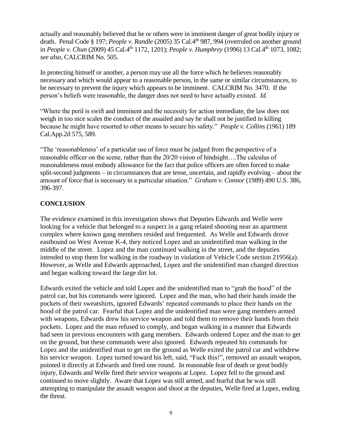actually and reasonably believed that he or others were in imminent danger of great bodily injury or death. Penal Code § 197; *People v. Randle* (2005) 35 Cal.4th 987, 994 (overruled on another ground in *People v. Chun* (2009) 45 Cal.4th 1172, 1201); *People v. Humphrey* (1996) 13 Cal.4th 1073, 1082; *see also,* CALCRIM No. 505.

In protecting himself or another, a person may use all the force which he believes reasonably necessary and which would appear to a reasonable person, in the same or similar circumstances, to be necessary to prevent the injury which appears to be imminent. CALCRIM No. 3470. If the person's beliefs were reasonable, the danger does not need to have actually existed. *Id.*

"Where the peril is swift and imminent and the necessity for action immediate, the law does not weigh in too nice scales the conduct of the assailed and say he shall not be justified in killing because he might have resorted to other means to secure his safety." *People v. Collins* (1961) 189 Cal.App.2d 575, 589.

"The 'reasonableness' of a particular use of force must be judged from the perspective of a reasonable officer on the scene, rather than the 20/20 vision of hindsight….The calculus of reasonableness must embody allowance for the fact that police officers are often forced to make split-second judgments – in circumstances that are tense, uncertain, and rapidly evolving – about the amount of force that is necessary in a particular situation." *Graham v. Connor* (1989) 490 U.S. 386, 396-397.

#### **CONCLUSION**

The evidence examined in this investigation shows that Deputies Edwards and Welle were looking for a vehicle that belonged to a suspect in a gang related shooting near an apartment complex where known gang members resided and frequented. As Welle and Edwards drove eastbound on West Avenue K-4, they noticed Lopez and an unidentified man walking in the middle of the street. Lopez and the man continued walking in the street, and the deputies intended to stop them for walking in the roadway in violation of Vehicle Code section 21956(a). However, as Welle and Edwards approached, Lopez and the unidentified man changed direction and began walking toward the large dirt lot.

Edwards exited the vehicle and told Lopez and the unidentified man to "grab the hood" of the patrol car, but his commands were ignored. Lopez and the man, who had their hands inside the pockets of their sweatshirts, ignored Edwards' repeated commands to place their hands on the hood of the patrol car. Fearful that Lopez and the unidentified man were gang members armed with weapons, Edwards drew his service weapon and told them to remove their hands from their pockets. Lopez and the man refused to comply, and began walking in a manner that Edwards had seen in previous encounters with gang members. Edwards ordered Lopez and the man to get on the ground, but these commands were also ignored. Edwards repeated his commands for Lopez and the unidentified man to get on the ground as Welle exited the patrol car and withdrew his service weapon. Lopez turned toward his left, said, "Fuck this!", removed an assault weapon, pointed it directly at Edwards and fired one round. In reasonable fear of death or great bodily injury, Edwards and Welle fired their service weapons at Lopez. Lopez fell to the ground and continued to move slightly. Aware that Lopez was still armed, and fearful that he was still attempting to manipulate the assault weapon and shoot at the deputies, Welle fired at Lopez, ending the threat.